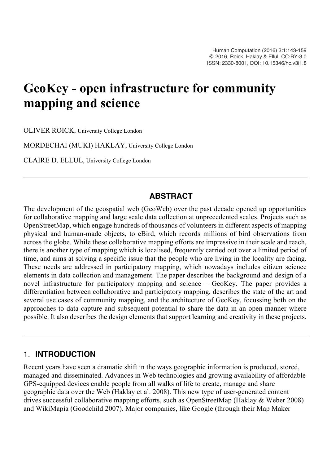# **GeoKey - open infrastructure for community mapping and science**

OLIVER ROICK, University College London

MORDECHAI (MUKI) HAKLAY, University College London

CLAIRE D. ELLUL, University College London

#### **ABSTRACT**

The development of the geospatial web (GeoWeb) over the past decade opened up opportunities for collaborative mapping and large scale data collection at unprecedented scales. Projects such as OpenStreetMap, which engage hundreds of thousands of volunteers in different aspects of mapping physical and human-made objects, to eBird, which records millions of bird observations from across the globe. While these collaborative mapping efforts are impressive in their scale and reach, there is another type of mapping which is localised, frequently carried out over a limited period of time, and aims at solving a specific issue that the people who are living in the locality are facing. These needs are addressed in participatory mapping, which nowadays includes citizen science elements in data collection and management. The paper describes the background and design of a novel infrastructure for participatory mapping and science – GeoKey. The paper provides a differentiation between collaborative and participatory mapping, describes the state of the art and several use cases of community mapping, and the architecture of GeoKey, focussing both on the approaches to data capture and subsequent potential to share the data in an open manner where possible. It also describes the design elements that support learning and creativity in these projects.

#### 1. **INTRODUCTION**

Recent years have seen a dramatic shift in the ways geographic information is produced, stored, managed and disseminated. Advances in Web technologies and growing availability of affordable GPS-equipped devices enable people from all walks of life to create, manage and share geographic data over the Web (Haklay et al. 2008). This new type of user-generated content drives successful collaborative mapping efforts, such as OpenStreetMap (Haklay & Weber 2008) and WikiMapia (Goodchild 2007). Major companies, like Google (through their Map Maker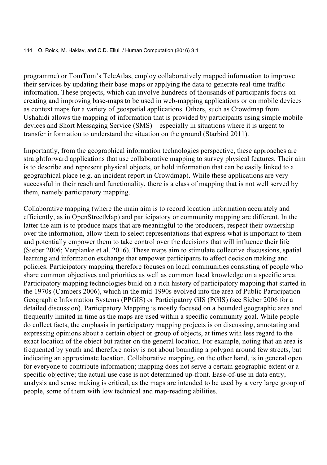programme) or TomTom's TeleAtlas, employ collaboratively mapped information to improve their services by updating their base-maps or applying the data to generate real-time traffic information. These projects, which can involve hundreds of thousands of participants focus on creating and improving base-maps to be used in web-mapping applications or on mobile devices as context maps for a variety of geospatial applications. Others, such as Crowdmap from Ushahidi allows the mapping of information that is provided by participants using simple mobile devices and Short Messaging Service (SMS) – especially in situations where it is urgent to transfer information to understand the situation on the ground (Starbird 2011).

Importantly, from the geographical information technologies perspective, these approaches are straightforward applications that use collaborative mapping to survey physical features. Their aim is to describe and represent physical objects, or hold information that can be easily linked to a geographical place (e.g. an incident report in Crowdmap). While these applications are very successful in their reach and functionality, there is a class of mapping that is not well served by them, namely participatory mapping.

Collaborative mapping (where the main aim is to record location information accurately and efficiently, as in OpenStreetMap) and participatory or community mapping are different. In the latter the aim is to produce maps that are meaningful to the producers, respect their ownership over the information, allow them to select representations that express what is important to them and potentially empower them to take control over the decisions that will influence their life (Sieber 2006; Verplanke et al. 2016). These maps aim to stimulate collective discussions, spatial learning and information exchange that empower participants to affect decision making and policies. Participatory mapping therefore focuses on local communities consisting of people who share common objectives and priorities as well as common local knowledge on a specific area. Participatory mapping technologies build on a rich history of participatory mapping that started in the 1970s (Cambers 2006), which in the mid-1990s evolved into the area of Public Participation Geographic Information Systems (PPGIS) or Participatory GIS (PGIS) (see Sieber 2006 for a detailed discussion). Participatory Mapping is mostly focused on a bounded geographic area and frequently limited in time as the maps are used within a specific community goal. While people do collect facts, the emphasis in participatory mapping projects is on discussing, annotating and expressing opinions about a certain object or group of objects, at times with less regard to the exact location of the object but rather on the general location. For example, noting that an area is frequented by youth and therefore noisy is not about bounding a polygon around few streets, but indicating an approximate location. Collaborative mapping, on the other hand, is in general open for everyone to contribute information; mapping does not serve a certain geographic extent or a specific objective; the actual use case is not determined up-front. Ease-of-use in data entry, analysis and sense making is critical, as the maps are intended to be used by a very large group of people, some of them with low technical and map-reading abilities.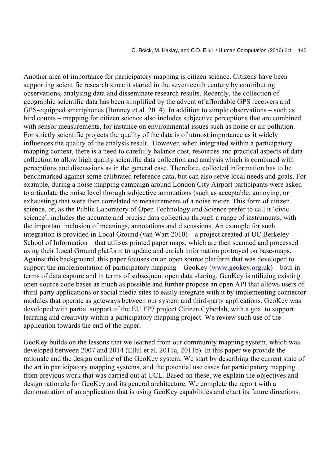Another area of importance for participatory mapping is citizen science. Citizens have been supporting scientific research since it started in the seventeenth century by contributing observations, analysing data and disseminate research results. Recently, the collection of geographic scientific data has been simplified by the advent of affordable GPS receivers and GPS-equipped smartphones (Bonney et al. 2014). In addition to simple observations – such as bird counts – mapping for citizen science also includes subjective perceptions that are combined with sensor measurements, for instance on environmental issues such as noise or air pollution. For strictly scientific projects the quality of the data is of utmost importance as it widely influences the quality of the analysis result. However, when integrated within a participatory mapping context, there is a need to carefully balance cost, resources and practical aspects of data collection to allow high quality scientific data collection and analysis which is combined with perceptions and discussions as in the general case. Therefore, collected information has to be benchmarked against some calibrated reference data, but can also serve local needs and goals. For example, during a noise mapping campaign around London City Airport participants were asked to articulate the noise level through subjective annotations (such as acceptable, annoying, or exhausting) that were then correlated to measurements of a noise meter. This form of citizen science, or, as the Public Laboratory of Open Technology and Science prefer to call it 'civic science', includes the accurate and precise data collection through a range of instruments, with the important inclusion of meanings, annotations and discussions. An example for such integration is provided in Local Ground (van Wart 2010) – a project created at UC Berkeley School of Information – that utilises printed paper maps, which are then scanned and processed using their Local Ground platform to update and enrich information portrayed on base-maps. Against this background, this paper focuses on an open source platform that was developed to support the implementation of participatory mapping – GeoKey (www.geokey.org.uk) – both in terms of data capture and in terms of subsequent open data sharing. GeoKey is utilizing existing open-source code bases as much as possible and further propose an open API that allows users of third-party applications or social media sites to easily integrate with it by implementing connector modules that operate as gateways between our system and third-party applications. GeoKey was developed with partial support of the EU FP7 project Citizen Cyberlab, with a goal to support learning and creativity within a participatory mapping project. We review such use of the application towards the end of the paper.

GeoKey builds on the lessons that we learned from our community mapping system, which was developed between 2007 and 2014 (Ellul et al. 2011a, 2011b). In this paper we provide the rationale and the design outline of the GeoKey system. We start by describing the current state of the art in participatory mapping systems, and the potential use cases for participatory mapping from previous work that was carried out at UCL. Based on these, we explain the objectives and design rationale for GeoKey and its general architecture. We complete the report with a demonstration of an application that is using GeoKey capabilities and chart its future directions.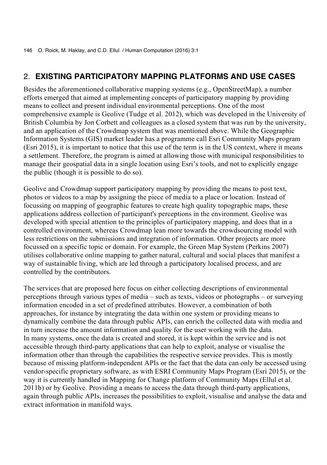#### 2. **EXISTING PARTICIPATORY MAPPING PLATFORMS AND USE CASES**

Besides the aforementioned collaborative mapping systems (e.g., OpenStreetMap), a number efforts emerged that aimed at implementing concepts of participatory mapping by providing means to collect and present individual environmental perceptions. One of the most comprehensive example is Geolive (Tudge et al. 2012), which was developed in the University of British Columbia by Jon Corbett and colleagues as a closed system that was run by the university, and an application of the Crowdmap system that was mentioned above. While the Geographic Information Systems (GIS) market leader has a programme call Esri Community Maps program (Esri 2015), it is important to notice that this use of the term is in the US context, where it means a settlement. Therefore, the program is aimed at allowing those with municipal responsibilities to manage their geospatial data in a single location using Esri's tools, and not to explicitly engage the public (though it is possible to do so).

Geolive and Crowdmap support participatory mapping by providing the means to post text, photos or videos to a map by assigning the piece of media to a place or location. Instead of focussing on mapping of geographic features to create high quality topographic maps, these applications address collection of participant's perceptions in the environment. Geolive was developed with special attention to the principles of participatory mapping, and does that in a controlled environment, whereas Crowdmap lean more towards the crowdsourcing model with less restrictions on the submissions and integration of information. Other projects are more focussed on a specific topic or domain. For example, the Green Map System (Perkins 2007) utilises collaborative online mapping to gather natural, cultural and social places that manifest a way of sustainable living, which are led through a participatory localised process, and are controlled by the contributors.

The services that are proposed here focus on either collecting descriptions of environmental perceptions through various types of media – such as texts, videos or photographs – or surveying information encoded in a set of predefined attributes. However, a combination of both approaches, for instance by integrating the data within one system or providing means to dynamically combine the data through public APIs, can enrich the collected data with media and in turn increase the amount information and quality for the user working with the data. In many systems, once the data is created and stored, it is kept within the service and is not accessible through third-party applications that can help to exploit, analyse or visualise the information other than through the capabilities the respective service provides. This is mostly because of missing platform-independent APIs or the fact that the data can only be accessed using vendor-specific proprietary software, as with ESRI Community Maps Program (Esri 2015), or the way it is currently handled in Mapping for Change platform of Community Maps (Ellul et al. 2011b) or by Geolive. Providing a means to access the data through third-party applications, again through public APIs, increases the possibilities to exploit, visualise and analyse the data and extract information in manifold ways.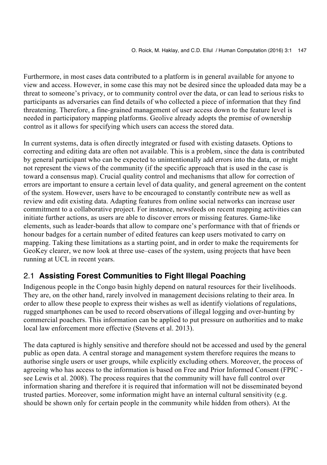Furthermore, in most cases data contributed to a platform is in general available for anyone to view and access. However, in some case this may not be desired since the uploaded data may be a threat to someone's privacy, or to community control over the data, or can lead to serious risks to participants as adversaries can find details of who collected a piece of information that they find threatening. Therefore, a fine-grained management of user access down to the feature level is needed in participatory mapping platforms. Geolive already adopts the premise of ownership control as it allows for specifying which users can access the stored data.

In current systems, data is often directly integrated or fused with existing datasets. Options to correcting and editing data are often not available. This is a problem, since the data is contributed by general participant who can be expected to unintentionally add errors into the data, or might not represent the views of the community (if the specific approach that is used in the case is toward a consensus map). Crucial quality control and mechanisms that allow for correction of errors are important to ensure a certain level of data quality, and general agreement on the content of the system. However, users have to be encouraged to constantly contribute new as well as review and edit existing data. Adapting features from online social networks can increase user commitment to a collaborative project. For instance, newsfeeds on recent mapping activities can initiate further actions, as users are able to discover errors or missing features. Game-like elements, such as leader-boards that allow to compare one's performance with that of friends or honour badges for a certain number of edited features can keep users motivated to carry on mapping. Taking these limitations as a starting point, and in order to make the requirements for GeoKey clearer, we now look at three use–cases of the system, using projects that have been running at UCL in recent years.

# 2.1 **Assisting Forest Communities to Fight Illegal Poaching**

Indigenous people in the Congo basin highly depend on natural resources for their livelihoods. They are, on the other hand, rarely involved in management decisions relating to their area. In order to allow these people to express their wishes as well as identify violations of regulations, rugged smartphones can be used to record observations of illegal logging and over-hunting by commercial poachers. This information can be applied to put pressure on authorities and to make local law enforcement more effective (Stevens et al. 2013).

The data captured is highly sensitive and therefore should not be accessed and used by the general public as open data. A central storage and management system therefore requires the means to authorise single users or user groups, while explicitly excluding others. Moreover, the process of agreeing who has access to the information is based on Free and Prior Informed Consent (FPIC see Lewis et al. 2008). The process requires that the community will have full control over information sharing and therefore it is required that information will not be disseminated beyond trusted parties. Moreover, some information might have an internal cultural sensitivity (e.g. should be shown only for certain people in the community while hidden from others). At the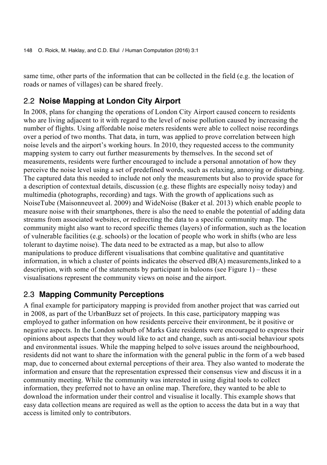same time, other parts of the information that can be collected in the field (e.g. the location of roads or names of villages) can be shared freely.

#### 2.2 **Noise Mapping at London City Airport**

In 2008, plans for changing the operations of London City Airport caused concern to residents who are living adjacent to it with regard to the level of noise pollution caused by increasing the number of flights. Using affordable noise meters residents were able to collect noise recordings over a period of two months. That data, in turn, was applied to prove correlation between high noise levels and the airport's working hours. In 2010, they requested access to the community mapping system to carry out further measurements by themselves. In the second set of measurements, residents were further encouraged to include a personal annotation of how they perceive the noise level using a set of predefined words, such as relaxing, annoying or disturbing. The captured data this needed to include not only the measurements but also to provide space for a description of contextual details, discussion (e.g. these flights are especially noisy today) and multimedia (photographs, recording) and tags. With the growth of applications such as NoiseTube (Maisonneuveet al. 2009) and WideNoise (Baker et al. 2013) which enable people to measure noise with their smartphones, there is also the need to enable the potential of adding data streams from associated websites, or redirecting the data to a specific community map. The community might also want to record specific themes (layers) of information, such as the location of vulnerable facilities (e.g. schools) or the location of people who work in shifts (who are less tolerant to daytime noise). The data need to be extracted as a map, but also to allow manipulations to produce different visualisations that combine qualitative and quantitative information, in which a cluster of points indicates the observed  $dB(A)$  measurements, linked to a description, with some of the statements by participant in baloons (see Figure 1) – these visualisations represent the community views on noise and the airport.

#### 2.3 **Mapping Community Perceptions**

A final example for participatory mapping is provided from another project that was carried out in 2008, as part of the UrbanBuzz set of projects. In this case, participatory mapping was employed to gather information on how residents perceive their environment, be it positive or negative aspects. In the London suburb of Marks Gate residents were encouraged to express their opinions about aspects that they would like to act and change, such as anti-social behaviour spots and environmental issues. While the mapping helped to solve issues around the neighbourhood, residents did not want to share the information with the general public in the form of a web based map, due to concerned about external perceptions of their area. They also wanted to moderate the information and ensure that the representation expressed their consensus view and discuss it in a community meeting. While the community was interested in using digital tools to collect information, they preferred not to have an online map. Therefore, they wanted to be able to download the information under their control and visualise it locally. This example shows that easy data collection means are required as well as the option to access the data but in a way that access is limited only to contributors.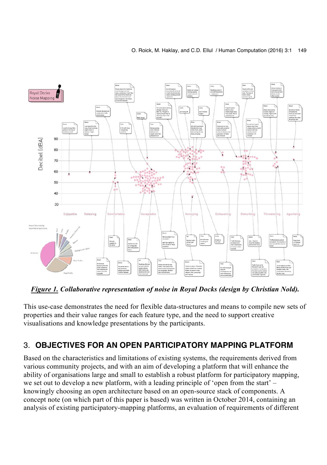

*Figure 1. Collaborative representation of noise in Royal Docks (design by Christian Nold).*

This use-case demonstrates the need for flexible data-structures and means to compile new sets of properties and their value ranges for each feature type, and the need to support creative visualisations and knowledge presentations by the participants.

# 3. **OBJECTIVES FOR AN OPEN PARTICIPATORY MAPPING PLATFORM**

Based on the characteristics and limitations of existing systems, the requirements derived from various community projects, and with an aim of developing a platform that will enhance the ability of organisations large and small to establish a robust platform for participatory mapping, we set out to develop a new platform, with a leading principle of 'open from the start' – knowingly choosing an open architecture based on an open-source stack of components. A concept note (on which part of this paper is based) was written in October 2014, containing an analysis of existing participatory-mapping platforms, an evaluation of requirements of different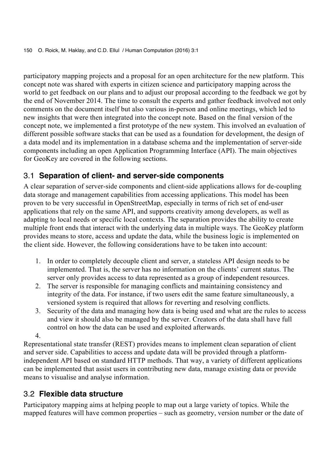participatory mapping projects and a proposal for an open architecture for the new platform. This concept note was shared with experts in citizen science and participatory mapping across the world to get feedback on our plans and to adjust our proposal according to the feedback we got by the end of November 2014. The time to consult the experts and gather feedback involved not only comments on the document itself but also various in-person and online meetings, which led to new insights that were then integrated into the concept note. Based on the final version of the concept note, we implemented a first prototype of the new system. This involved an evaluation of different possible software stacks that can be used as a foundation for development, the design of a data model and its implementation in a database schema and the implementation of server-side components including an open Application Programming Interface (API). The main objectives for GeoKey are covered in the following sections.

## 3.1 **Separation of client- and server-side components**

A clear separation of server-side components and client-side applications allows for de-coupling data storage and management capabilities from accessing applications. This model has been proven to be very successful in OpenStreetMap, especially in terms of rich set of end-user applications that rely on the same API, and supports creativity among developers, as well as adapting to local needs or specific local contexts. The separation provides the ability to create multiple front ends that interact with the underlying data in multiple ways. The GeoKey platform provides means to store, access and update the data, while the business logic is implemented on the client side. However, the following considerations have to be taken into account:

- 1. In order to completely decouple client and server, a stateless API design needs to be implemented. That is, the server has no information on the clients' current status. The server only provides access to data represented as a group of independent resources.
- 2. The server is responsible for managing conflicts and maintaining consistency and integrity of the data. For instance, if two users edit the same feature simultaneously, a versioned system is required that allows for reverting and resolving conflicts.
- 3. Security of the data and managing how data is being used and what are the rules to access and view it should also be managed by the server. Creators of the data shall have full control on how the data can be used and exploited afterwards.
- 4.

Representational state transfer (REST) provides means to implement clean separation of client and server side. Capabilities to access and update data will be provided through a platformindependent API based on standard HTTP methods. That way, a variety of different applications can be implemented that assist users in contributing new data, manage existing data or provide means to visualise and analyse information.

## 3.2 **Flexible data structure**

Participatory mapping aims at helping people to map out a large variety of topics. While the mapped features will have common properties – such as geometry, version number or the date of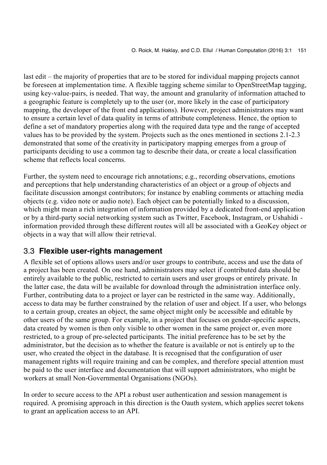last edit – the majority of properties that are to be stored for individual mapping projects cannot be foreseen at implementation time. A flexible tagging scheme similar to OpenStreetMap tagging, using key-value-pairs, is needed. That way, the amount and granularity of information attached to a geographic feature is completely up to the user (or, more likely in the case of participatory mapping, the developer of the front end applications). However, project administrators may want to ensure a certain level of data quality in terms of attribute completeness. Hence, the option to define a set of mandatory properties along with the required data type and the range of accepted values has to be provided by the system. Projects such as the ones mentioned in sections 2.1-2.3 demonstrated that some of the creativity in participatory mapping emerges from a group of participants deciding to use a common tag to describe their data, or create a local classification scheme that reflects local concerns.

Further, the system need to encourage rich annotations; e.g., recording observations, emotions and perceptions that help understanding characteristics of an object or a group of objects and facilitate discussion amongst contributors; for instance by enabling comments or attaching media objects (e.g. video note or audio note). Each object can be potentially linked to a discussion, which might mean a rich integration of information provided by a dedicated front-end application or by a third-party social networking system such as Twitter, Facebook, Instagram, or Ushahidi information provided through these different routes will all be associated with a GeoKey object or objects in a way that will allow their retrieval.

#### 3.3 **Flexible user-rights management**

A flexible set of options allows users and/or user groups to contribute, access and use the data of a project has been created. On one hand, administrators may select if contributed data should be entirely available to the public, restricted to certain users and user groups or entirely private. In the latter case, the data will be available for download through the administration interface only. Further, contributing data to a project or layer can be restricted in the same way. Additionally, access to data may be further constrained by the relation of user and object. If a user, who belongs to a certain group, creates an object, the same object might only be accessible and editable by other users of the same group. For example, in a project that focuses on gender-specific aspects, data created by women is then only visible to other women in the same project or, even more restricted, to a group of pre-selected participants. The initial preference has to be set by the administrator, but the decision as to whether the feature is available or not is entirely up to the user, who created the object in the database. It is recognised that the configuration of user management rights will require training and can be complex, and therefore special attention must be paid to the user interface and documentation that will support administrators, who might be workers at small Non-Governmental Organisations (NGOs).

In order to secure access to the API a robust user authentication and session management is required. A promising approach in this direction is the Oauth system, which applies secret tokens to grant an application access to an API.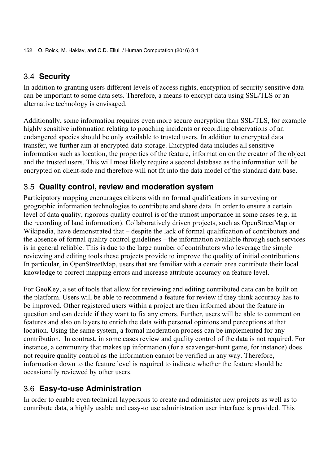#### 3.4 **Security**

In addition to granting users different levels of access rights, encryption of security sensitive data can be important to some data sets. Therefore, a means to encrypt data using SSL/TLS or an alternative technology is envisaged.

Additionally, some information requires even more secure encryption than SSL/TLS, for example highly sensitive information relating to poaching incidents or recording observations of an endangered species should be only available to trusted users. In addition to encrypted data transfer, we further aim at encrypted data storage. Encrypted data includes all sensitive information such as location, the properties of the feature, information on the creator of the object and the trusted users. This will most likely require a second database as the information will be encrypted on client-side and therefore will not fit into the data model of the standard data base.

#### 3.5 **Quality control, review and moderation system**

Participatory mapping encourages citizens with no formal qualifications in surveying or geographic information technologies to contribute and share data. In order to ensure a certain level of data quality, rigorous quality control is of the utmost importance in some cases (e.g. in the recording of land information). Collaboratively driven projects, such as OpenStreetMap or Wikipedia, have demonstrated that – despite the lack of formal qualification of contributors and the absence of formal quality control guidelines – the information available through such services is in general reliable. This is due to the large number of contributors who leverage the simple reviewing and editing tools these projects provide to improve the quality of initial contributions. In particular, in OpenStreetMap, users that are familiar with a certain area contribute their local knowledge to correct mapping errors and increase attribute accuracy on feature level.

For GeoKey, a set of tools that allow for reviewing and editing contributed data can be built on the platform. Users will be able to recommend a feature for review if they think accuracy has to be improved. Other registered users within a project are then informed about the feature in question and can decide if they want to fix any errors. Further, users will be able to comment on features and also on layers to enrich the data with personal opinions and perceptions at that location. Using the same system, a formal moderation process can be implemented for any contribution. In contrast, in some cases review and quality control of the data is not required. For instance, a community that makes up information (for a scavenger-hunt game, for instance) does not require quality control as the information cannot be verified in any way. Therefore, information down to the feature level is required to indicate whether the feature should be occasionally reviewed by other users.

#### 3.6 **Easy-to-use Administration**

In order to enable even technical laypersons to create and administer new projects as well as to contribute data, a highly usable and easy-to use administration user interface is provided. This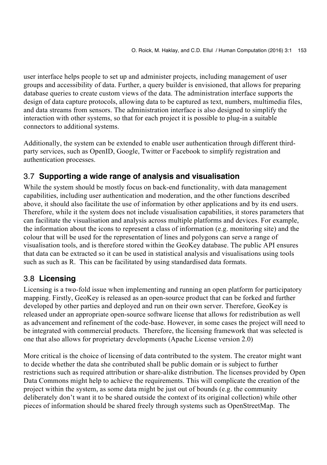user interface helps people to set up and administer projects, including management of user groups and accessibility of data. Further, a query builder is envisioned, that allows for preparing database queries to create custom views of the data. The administration interface supports the design of data capture protocols, allowing data to be captured as text, numbers, multimedia files, and data streams from sensors. The administration interface is also designed to simplify the interaction with other systems, so that for each project it is possible to plug-in a suitable connectors to additional systems.

Additionally, the system can be extended to enable user authentication through different thirdparty services, such as OpenID, Google, Twitter or Facebook to simplify registration and authentication processes.

## 3.7 **Supporting a wide range of analysis and visualisation**

While the system should be mostly focus on back-end functionality, with data management capabilities, including user authentication and moderation, and the other functions described above, it should also facilitate the use of information by other applications and by its end users. Therefore, while it the system does not include visualisation capabilities, it stores parameters that can facilitate the visualisation and analysis across multiple platforms and devices. For example, the information about the icons to represent a class of information (e.g. monitoring site) and the colour that will be used for the representation of lines and polygons can serve a range of visualisation tools, and is therefore stored within the GeoKey database. The public API ensures that data can be extracted so it can be used in statistical analysis and visualisations using tools such as such as R. This can be facilitated by using standardised data formats.

## 3.8 **Licensing**

Licensing is a two-fold issue when implementing and running an open platform for participatory mapping. Firstly, GeoKey is released as an open-source product that can be forked and further developed by other parties and deployed and run on their own server. Therefore, GeoKey is released under an appropriate open-source software license that allows for redistribution as well as advancement and refinement of the code-base. However, in some cases the project will need to be integrated with commercial products. Therefore, the licensing framework that was selected is one that also allows for proprietary developments (Apache License version 2.0)

More critical is the choice of licensing of data contributed to the system. The creator might want to decide whether the data she contributed shall be public domain or is subject to further restrictions such as required attribution or share-alike distribution. The licenses provided by Open Data Commons might help to achieve the requirements. This will complicate the creation of the project within the system, as some data might be just out of bounds (e.g. the community deliberately don't want it to be shared outside the context of its original collection) while other pieces of information should be shared freely through systems such as OpenStreetMap. The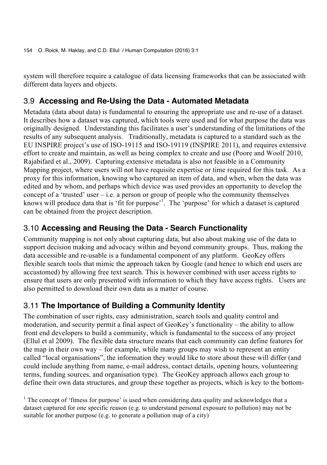system will therefore require a catalogue of data licensing frameworks that can be associated with different data layers and objects.

## 3.9 **Accessing and Re-Using the Data - Automated Metadata**

Metadata (data about data) is fundamental to ensuring the appropriate use and re-use of a dataset. It describes how a dataset was captured, which tools were used and for what purpose the data was originally designed. Understanding this facilitates a user's understanding of the limitations of the results of any subsequent analysis. Traditionally, metadata is captured to a standard such as the EU INSPIRE project's use of ISO-19115 and ISO-19119 (INSPIRE 2011), and requires extensive effort to create and maintain, as well as being complex to create and use (Poore and Woolf 2010, Rajabifard et al., 2009). Capturing extensive metadata is also not feasible in a Community Mapping project, where users will not have requisite expertise or time required for this task. As a proxy for this information, knowing who captured an item of data, and when, when the data was edited and by whom, and perhaps which device was used provides an opportunity to develop the concept of a 'trusted' user  $-$  i.e. a person or group of people who the community themselves knows will produce data that is 'fit for purpose'<sup>1</sup>. The 'purpose' for which a dataset is captured can be obtained from the project description.

## 3.10 **Accessing and Reusing the Data - Search Functionality**

Community mapping is not only about capturing data, but also about making use of the data to support decision making and advocacy within and beyond community groups. Thus, making the data accessible and re-usable is a fundamental component of any platform. GeoKey offers flexible search tools that mimic the approach taken by Google (and hence to which end users are accustomed) by allowing free text search. This is however combined with user access rights to ensure that users are only presented with information to which they have access rights. Users are also permitted to download their own data as a matter of course.

## 3.11 **The Importance of Building a Community Identity**

The combination of user rights, easy administration, search tools and quality control and moderation, and security permit a final aspect of GeoKey's functionality – the ability to allow front end developers to build a community, which is fundamental to the success of any project (Ellul et al 2009). The flexible data structure means that each community can define features for the map in their own way – for example, while many groups may wish to represent an entity called "local organisations", the information they would like to store about these will differ (and could include anything from name, e-mail address, contact details, opening hours, volunteering terms, funding sources, and organisation type). The GeoKey approach allows each group to define their own data structures, and group these together as projects, which is key to the bottom-

<sup>&</sup>lt;sup>1</sup> The concept of 'fitness for purpose' is used when considering data quality and acknowledges that a dataset captured for one specific reason (e.g. to understand personal exposure to pollution) may not be suitable for another purpose (e.g. to generate a pollution map of a city)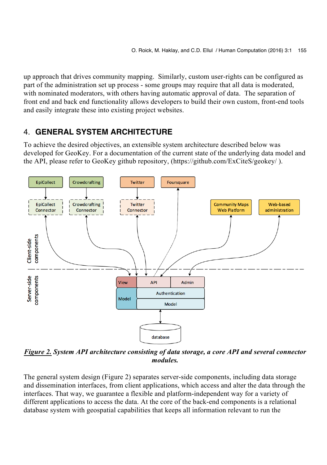up approach that drives community mapping. Similarly, custom user-rights can be configured as part of the administration set up process - some groups may require that all data is moderated, with nominated moderators, with others having automatic approval of data. The separation of front end and back end functionality allows developers to build their own custom, front-end tools and easily integrate these into existing project websites.

## 4. **GENERAL SYSTEM ARCHITECTURE**

To achieve the desired objectives, an extensible system architecture described below was developed for GeoKey. For a documentation of the current state of the underlying data model and the API, please refer to GeoKey github repository, (https://github.com/ExCiteS/geokey/ ).



*Figure 2. System API architecture consisting of data storage, a core API and several connector modules.*

The general system design (Figure 2) separates server-side components, including data storage and dissemination interfaces, from client applications, which access and alter the data through the interfaces. That way, we guarantee a flexible and platform-independent way for a variety of different applications to access the data. At the core of the back-end components is a relational database system with geospatial capabilities that keeps all information relevant to run the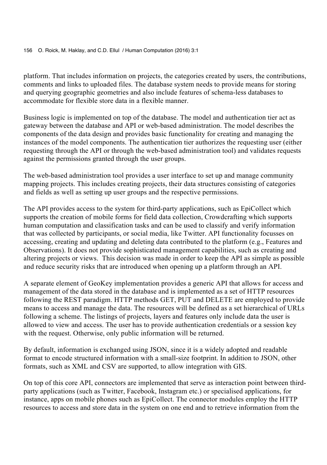platform. That includes information on projects, the categories created by users, the contributions, comments and links to uploaded files. The database system needs to provide means for storing and querying geographic geometries and also include features of schema-less databases to accommodate for flexible store data in a flexible manner.

Business logic is implemented on top of the database. The model and authentication tier act as gateway between the database and API or web-based administration. The model describes the components of the data design and provides basic functionality for creating and managing the instances of the model components. The authentication tier authorizes the requesting user (either requesting through the API or through the web-based administration tool) and validates requests against the permissions granted through the user groups.

The web-based administration tool provides a user interface to set up and manage community mapping projects. This includes creating projects, their data structures consisting of categories and fields as well as setting up user groups and the respective permissions.

The API provides access to the system for third-party applications, such as EpiCollect which supports the creation of mobile forms for field data collection, Crowdcrafting which supports human computation and classification tasks and can be used to classify and verify information that was collected by participants, or social media, like Twitter. API functionality focusses on accessing, creating and updating and deleting data contributed to the platform (e.g., Features and Observations). It does not provide sophisticated management capabilities, such as creating and altering projects or views. This decision was made in order to keep the API as simple as possible and reduce security risks that are introduced when opening up a platform through an API.

A separate element of GeoKey implementation provides a generic API that allows for access and management of the data stored in the database and is implemented as a set of HTTP resources following the REST paradigm. HTTP methods GET, PUT and DELETE are employed to provide means to access and manage the data. The resources will be defined as a set hierarchical of URLs following a scheme. The listings of projects, layers and features only include data the user is allowed to view and access. The user has to provide authentication credentials or a session key with the request. Otherwise, only public information will be returned.

By default, information is exchanged using JSON, since it is a widely adopted and readable format to encode structured information with a small-size footprint. In addition to JSON, other formats, such as XML and CSV are supported, to allow integration with GIS.

On top of this core API, connectors are implemented that serve as interaction point between thirdparty applications (such as Twitter, Facebook, Instagram etc.) or specialised applications, for instance, apps on mobile phones such as EpiCollect. The connector modules employ the HTTP resources to access and store data in the system on one end and to retrieve information from the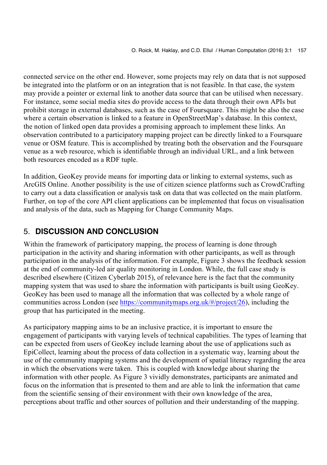connected service on the other end. However, some projects may rely on data that is not supposed be integrated into the platform or on an integration that is not feasible. In that case, the system may provide a pointer or external link to another data source that can be utilised when necessary. For instance, some social media sites do provide access to the data through their own APIs but prohibit storage in external databases, such as the case of Foursquare. This might be also the case where a certain observation is linked to a feature in OpenStreetMap's database. In this context, the notion of linked open data provides a promising approach to implement these links. An observation contributed to a participatory mapping project can be directly linked to a Foursquare venue or OSM feature. This is accomplished by treating both the observation and the Foursquare venue as a web resource, which is identifiable through an individual URL, and a link between both resources encoded as a RDF tuple.

In addition, GeoKey provide means for importing data or linking to external systems, such as ArcGIS Online. Another possibility is the use of citizen science platforms such as CrowdCrafting to carry out a data classification or analysis task on data that was collected on the main platform. Further, on top of the core API client applications can be implemented that focus on visualisation and analysis of the data, such as Mapping for Change Community Maps.

# 5. **DISCUSSION AND CONCLUSION**

Within the framework of participatory mapping, the process of learning is done through participation in the activity and sharing information with other participants, as well as through participation in the analysis of the information. For example, Figure 3 shows the feedback session at the end of community-led air quality monitoring in London. While, the full case study is described elsewhere (Citizen Cyberlab 2015), of relevance here is the fact that the community mapping system that was used to share the information with participants is built using GeoKey. GeoKey has been used to manage all the information that was collected by a whole range of communities across London (see https://communitymaps.org.uk/#/project/26), including the group that has participated in the meeting.

As participatory mapping aims to be an inclusive practice, it is important to ensure the engagement of participants with varying levels of technical capabilities. The types of learning that can be expected from users of GeoKey include learning about the use of applications such as EpiCollect, learning about the process of data collection in a systematic way, learning about the use of the community mapping systems and the development of spatial literacy regarding the area in which the observations were taken. This is coupled with knowledge about sharing the information with other people. As Figure 3 vividly demonstrates, participants are animated and focus on the information that is presented to them and are able to link the information that came from the scientific sensing of their environment with their own knowledge of the area, perceptions about traffic and other sources of pollution and their understanding of the mapping.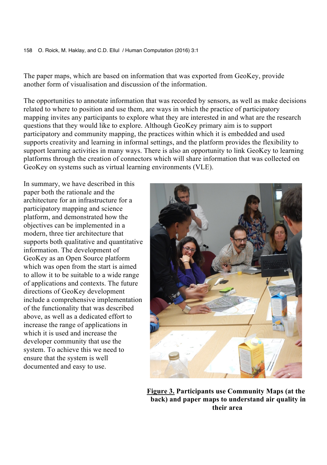The paper maps, which are based on information that was exported from GeoKey, provide another form of visualisation and discussion of the information.

The opportunities to annotate information that was recorded by sensors, as well as make decisions related to where to position and use them, are ways in which the practice of participatory mapping invites any participants to explore what they are interested in and what are the research questions that they would like to explore. Although GeoKey primary aim is to support participatory and community mapping, the practices within which it is embedded and used supports creativity and learning in informal settings, and the platform provides the flexibility to support learning activities in many ways. There is also an opportunity to link GeoKey to learning platforms through the creation of connectors which will share information that was collected on GeoKey on systems such as virtual learning environments (VLE).

In summary, we have described in this paper both the rationale and the architecture for an infrastructure for a participatory mapping and science platform, and demonstrated how the objectives can be implemented in a modern, three tier architecture that supports both qualitative and quantitative information. The development of GeoKey as an Open Source platform which was open from the start is aimed to allow it to be suitable to a wide range of applications and contexts. The future directions of GeoKey development include a comprehensive implementation of the functionality that was described above, as well as a dedicated effort to increase the range of applications in which it is used and increase the developer community that use the system. To achieve this we need to ensure that the system is well documented and easy to use.



 **Figure 3. Participants use Community Maps (at the back) and paper maps to understand air quality in their area**